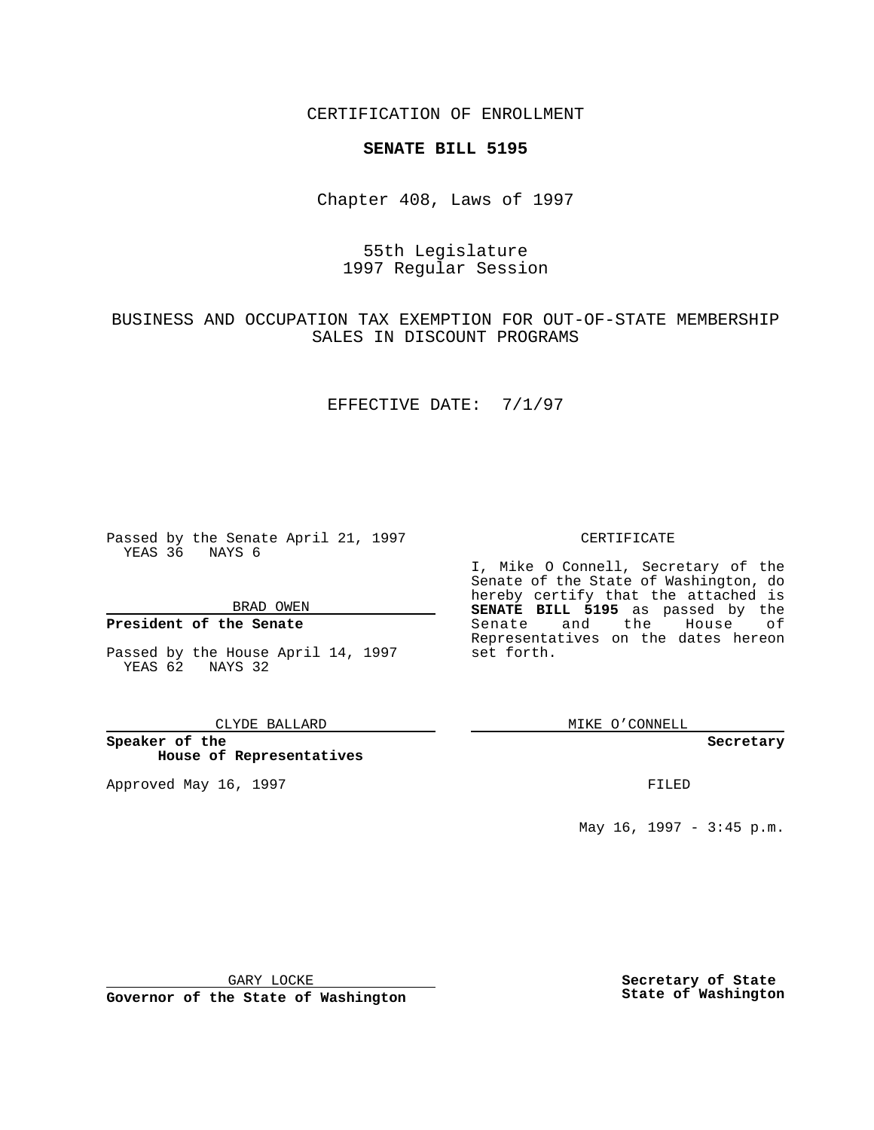CERTIFICATION OF ENROLLMENT

# **SENATE BILL 5195**

Chapter 408, Laws of 1997

# 55th Legislature 1997 Regular Session

BUSINESS AND OCCUPATION TAX EXEMPTION FOR OUT-OF-STATE MEMBERSHIP SALES IN DISCOUNT PROGRAMS

### EFFECTIVE DATE: 7/1/97

Passed by the Senate April 21, 1997 YEAS 36 NAYS 6

BRAD OWEN

### **President of the Senate**

Passed by the House April 14, 1997 YEAS 62 NAYS 32

CLYDE BALLARD

**Speaker of the House of Representatives**

Approved May 16, 1997 **FILED** 

CERTIFICATE

I, Mike O Connell, Secretary of the Senate of the State of Washington, do hereby certify that the attached is **SENATE BILL 5195** as passed by the Senate and the House of Representatives on the dates hereon set forth.

MIKE O'CONNELL

#### **Secretary**

May 16, 1997 - 3:45 p.m.

GARY LOCKE

**Governor of the State of Washington**

**Secretary of State State of Washington**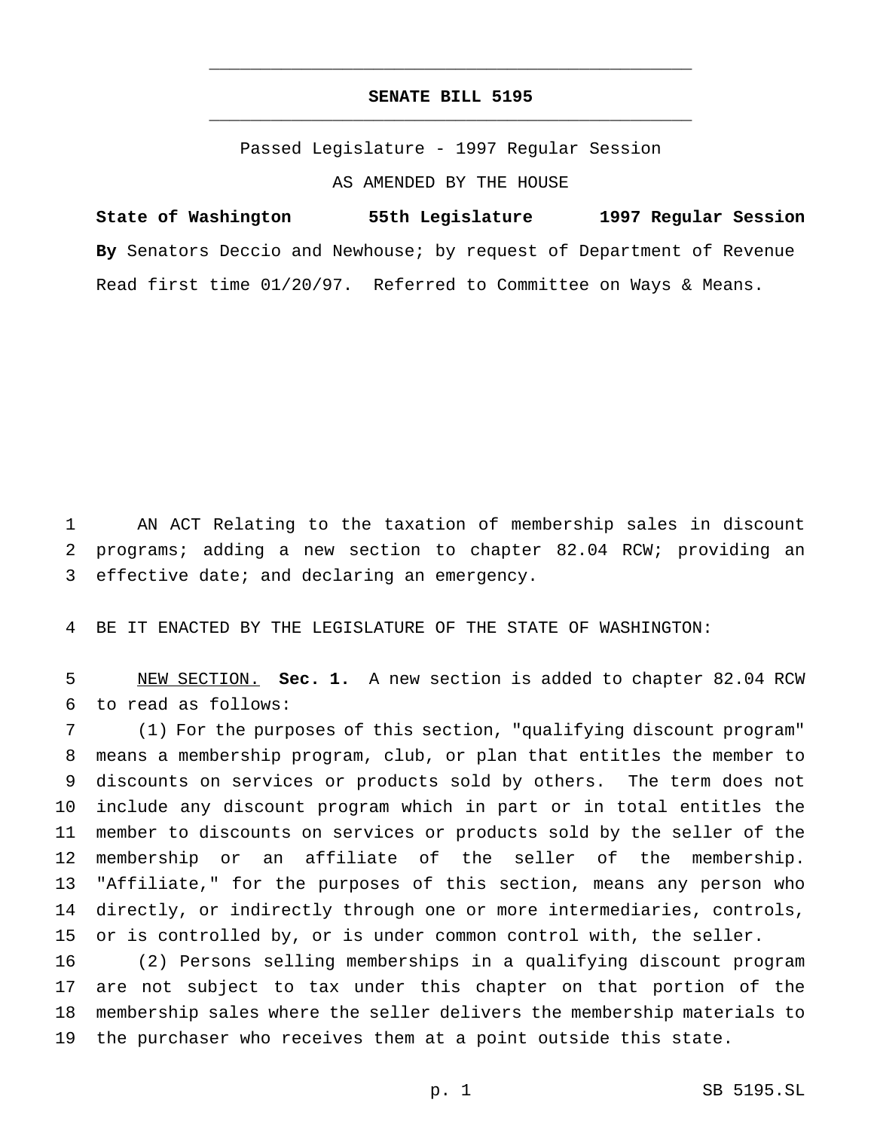## **SENATE BILL 5195** \_\_\_\_\_\_\_\_\_\_\_\_\_\_\_\_\_\_\_\_\_\_\_\_\_\_\_\_\_\_\_\_\_\_\_\_\_\_\_\_\_\_\_\_\_\_\_

\_\_\_\_\_\_\_\_\_\_\_\_\_\_\_\_\_\_\_\_\_\_\_\_\_\_\_\_\_\_\_\_\_\_\_\_\_\_\_\_\_\_\_\_\_\_\_

Passed Legislature - 1997 Regular Session AS AMENDED BY THE HOUSE

**State of Washington 55th Legislature 1997 Regular Session By** Senators Deccio and Newhouse; by request of Department of Revenue Read first time 01/20/97. Referred to Committee on Ways & Means.

 AN ACT Relating to the taxation of membership sales in discount programs; adding a new section to chapter 82.04 RCW; providing an effective date; and declaring an emergency.

BE IT ENACTED BY THE LEGISLATURE OF THE STATE OF WASHINGTON:

 NEW SECTION. **Sec. 1.** A new section is added to chapter 82.04 RCW to read as follows:

 (1) For the purposes of this section, "qualifying discount program" means a membership program, club, or plan that entitles the member to discounts on services or products sold by others. The term does not include any discount program which in part or in total entitles the member to discounts on services or products sold by the seller of the membership or an affiliate of the seller of the membership. "Affiliate," for the purposes of this section, means any person who directly, or indirectly through one or more intermediaries, controls, or is controlled by, or is under common control with, the seller.

 (2) Persons selling memberships in a qualifying discount program are not subject to tax under this chapter on that portion of the membership sales where the seller delivers the membership materials to the purchaser who receives them at a point outside this state.